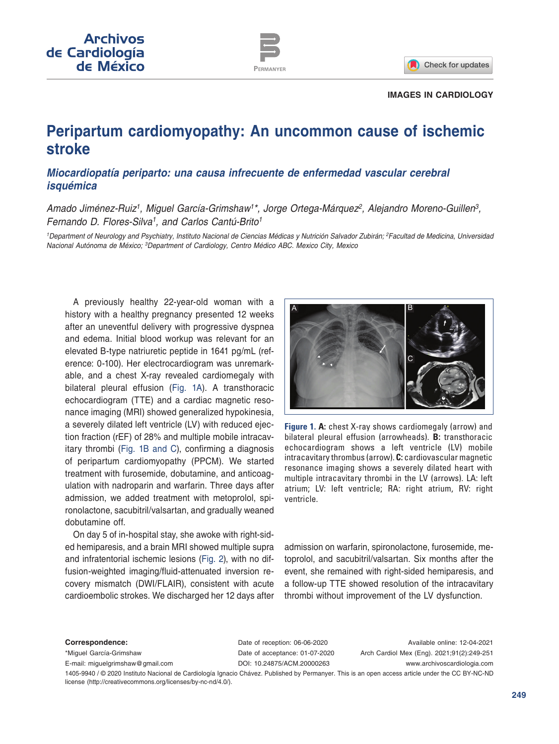

#### **IMAGES IN CARDIOLOGY**

# **Peripartum cardiomyopathy: An uncommon cause of ischemic stroke**

## *Miocardiopatía periparto: una causa infrecuente de enfermedad vascular cerebral isquémica*

Amado Jiménez-Ruiz<sup>1</sup>, Miguel García-Grimshaw<sup>1\*</sup>, Jorge Ortega-Márquez<sup>2</sup>, Alejandro Moreno-Guillen<sup>3</sup>, *Fernando D. Flores-Silva1, and Carlos Cantú-Brito1*

*1Department of Neurology and Psychiatry, Instituto Nacional de Ciencias Médicas y Nutrición Salvador Zubirán; 2Facultad de Medicina, Universidad Nacional Autónoma de México; 3Department of Cardiology, Centro Médico ABC. Mexico City, Mexico*

A previously healthy 22-year-old woman with a history with a healthy pregnancy presented 12 weeks after an uneventful delivery with progressive dyspnea and edema. Initial blood workup was relevant for an elevated B-type natriuretic peptide in 1641 pg/mL (reference: 0-100). Her electrocardiogram was unremarkable, and a chest X-ray revealed cardiomegaly with bilateral pleural effusion (Fig. 1A). A transthoracic echocardiogram (TTE) and a cardiac magnetic resonance imaging (MRI) showed generalized hypokinesia, a severely dilated left ventricle (LV) with reduced ejection fraction (rEF) of 28% and multiple mobile intracavitary thrombi (Fig. 1B and C), confirming a diagnosis of peripartum cardiomyopathy (PPCM). We started treatment with furosemide, dobutamine, and anticoagulation with nadroparin and warfarin. Three days after admission, we added treatment with metoprolol, spironolactone, sacubitril/valsartan, and gradually weaned dobutamine off.

On day 5 of in-hospital stay, she awoke with right-sided hemiparesis, and a brain MRI showed multiple supra and infratentorial ischemic lesions ([Fig.](#page-1-0) 2), with no diffusion-weighted imaging/fluid-attenuated inversion recovery mismatch (DWI/FLAIR), consistent with acute cardioembolic strokes. We discharged her 12 days after



**Figure 1. A:** chest X-ray shows cardiomegaly (arrow) and bilateral pleural effusion (arrowheads). **B:** transthoracic echocardiogram shows a left ventricle (LV) mobile intracavitary thrombus (arrow). **C:** cardiovascular magnetic resonance imaging shows a severely dilated heart with multiple intracavitary thrombi in the LV (arrows). LA: left atrium; LV: left ventricle; RA: right atrium, RV: right ventricle.

admission on warfarin, spironolactone, furosemide, metoprolol, and sacubitril/valsartan. Six months after the event, she remained with right-sided hemiparesis, and a follow-up TTE showed resolution of the intracavitary thrombi without improvement of the LV dysfunction.

**Correspondence:**

\*Miguel García-Grimshaw E-mail: [miguelgrimshaw@gmail.com](mailto:miguelgrimshaw%40gmail.com?subject=) Date of reception: 06-06-2020 Date of acceptance: 01-07-2020 DOI: [10.24875/ACM.20000263](http://dx.doi.org/10.24875/ACM.20000263)

Available online: 12-04-2021 Arch Cardiol Mex (Eng). 2021;91(2):249-251 www.archivoscardiologia.com

1405-9940 / © 2020 Instituto Nacional de Cardiología Ignacio Chávez. Published by Permanyer. This is an open access article under the CC BY-NC-ND license ([http://creativecommons.org/licenses/by-nc-nd/4.0/\)](http://creativecommons.org/licenses/by-nc-nd/4.0/).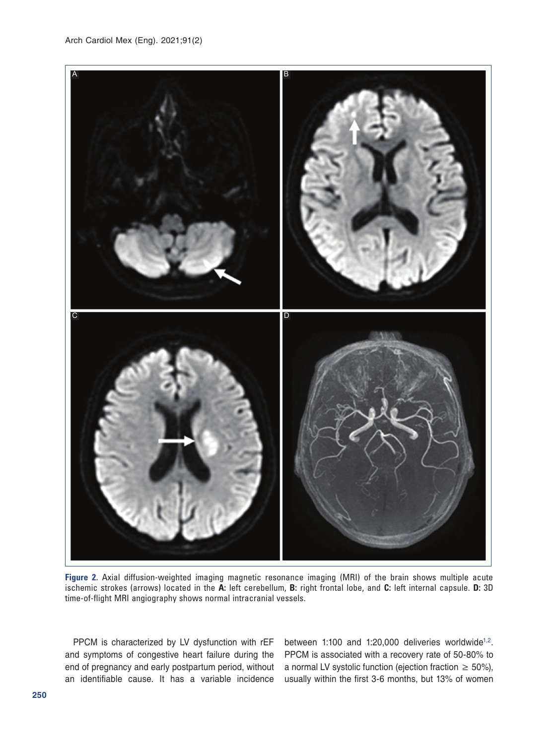<span id="page-1-0"></span>

**Figure 2.** Axial diffusion-weighted imaging magnetic resonance imaging (MRI) of the brain shows multiple acute ischemic strokes (arrows) located in the **A:** left cerebellum, **B:** right frontal lobe, and **C:** left internal capsule. **D:** 3D time-of-flight MRI angiography shows normal intracranial vessels.

PPCM is characterized by LV dysfunction with rEF and symptoms of congestive heart failure during the end of pregnancy and early postpartum period, without an identifiable cause. It has a variable incidence between 1:100 and 1:[2](#page-2-1)0,000 deliveries worldwide<sup>1,2</sup>. PPCM is associated with a recovery rate of 50-80% to a normal LV systolic function (ejection fraction  $\geq 50\%$ ), usually within the first 3-6 months, but 13% of women